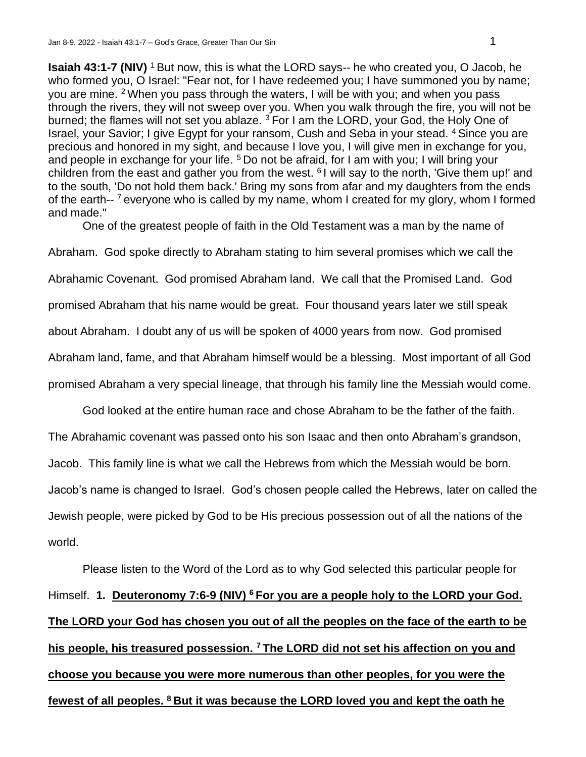**Isaiah 43:1-7 (NIV)** <sup>1</sup> But now, this is what the LORD says-- he who created you, O Jacob, he who formed you, O Israel: "Fear not, for I have redeemed you; I have summoned you by name; you are mine. <sup>2</sup>When you pass through the waters, I will be with you; and when you pass through the rivers, they will not sweep over you. When you walk through the fire, you will not be burned; the flames will not set you ablaze. <sup>3</sup> For I am the LORD, your God, the Holy One of Israel, your Savior; I give Egypt for your ransom, Cush and Seba in your stead. <sup>4</sup>Since you are precious and honored in my sight, and because I love you, I will give men in exchange for you, and people in exchange for your life.  $5$  Do not be afraid, for I am with you; I will bring your children from the east and gather you from the west. <sup>6</sup>I will say to the north, 'Give them up!' and to the south, 'Do not hold them back.' Bring my sons from afar and my daughters from the ends of the earth--<sup>7</sup> everyone who is called by my name, whom I created for my glory, whom I formed and made."

One of the greatest people of faith in the Old Testament was a man by the name of

Abraham. God spoke directly to Abraham stating to him several promises which we call the

Abrahamic Covenant. God promised Abraham land. We call that the Promised Land. God

promised Abraham that his name would be great. Four thousand years later we still speak

about Abraham. I doubt any of us will be spoken of 4000 years from now. God promised

Abraham land, fame, and that Abraham himself would be a blessing. Most important of all God

promised Abraham a very special lineage, that through his family line the Messiah would come.

God looked at the entire human race and chose Abraham to be the father of the faith.

The Abrahamic covenant was passed onto his son Isaac and then onto Abraham's grandson,

Jacob. This family line is what we call the Hebrews from which the Messiah would be born.

Jacob's name is changed to Israel. God's chosen people called the Hebrews, later on called the

Jewish people, were picked by God to be His precious possession out of all the nations of the world.

Please listen to the Word of the Lord as to why God selected this particular people for Himself. **1. Deuteronomy 7:6-9 (NIV) <sup>6</sup>For you are a people holy to the LORD your God. The LORD your God has chosen you out of all the peoples on the face of the earth to be his people, his treasured possession. <sup>7</sup>The LORD did not set his affection on you and choose you because you were more numerous than other peoples, for you were the fewest of all peoples. 8 But it was because the LORD loved you and kept the oath he**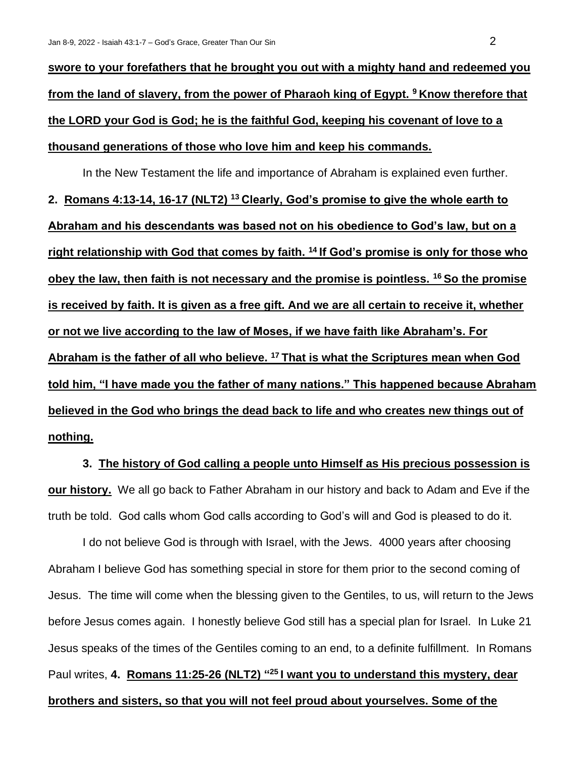**swore to your forefathers that he brought you out with a mighty hand and redeemed you from the land of slavery, from the power of Pharaoh king of Egypt. <sup>9</sup>Know therefore that the LORD your God is God; he is the faithful God, keeping his covenant of love to a thousand generations of those who love him and keep his commands.** 

In the New Testament the life and importance of Abraham is explained even further. **2. Romans 4:13-14, 16-17 (NLT2) <sup>13</sup>Clearly, God's promise to give the whole earth to Abraham and his descendants was based not on his obedience to God's law, but on a right relationship with God that comes by faith. <sup>14</sup>If God's promise is only for those who obey the law, then faith is not necessary and the promise is pointless. <sup>16</sup>So the promise is received by faith. It is given as a free gift. And we are all certain to receive it, whether or not we live according to the law of Moses, if we have faith like Abraham's. For Abraham is the father of all who believe. <sup>17</sup>That is what the Scriptures mean when God told him, "I have made you the father of many nations." This happened because Abraham believed in the God who brings the dead back to life and who creates new things out of nothing.**

**3. The history of God calling a people unto Himself as His precious possession is our history.** We all go back to Father Abraham in our history and back to Adam and Eve if the truth be told. God calls whom God calls according to God's will and God is pleased to do it.

I do not believe God is through with Israel, with the Jews. 4000 years after choosing Abraham I believe God has something special in store for them prior to the second coming of Jesus. The time will come when the blessing given to the Gentiles, to us, will return to the Jews before Jesus comes again. I honestly believe God still has a special plan for Israel. In Luke 21 Jesus speaks of the times of the Gentiles coming to an end, to a definite fulfillment. In Romans Paul writes, 4. Romans 11:25-26 (NLT2) "<sup>25</sup> I want you to understand this mystery, dear **brothers and sisters, so that you will not feel proud about yourselves. Some of the**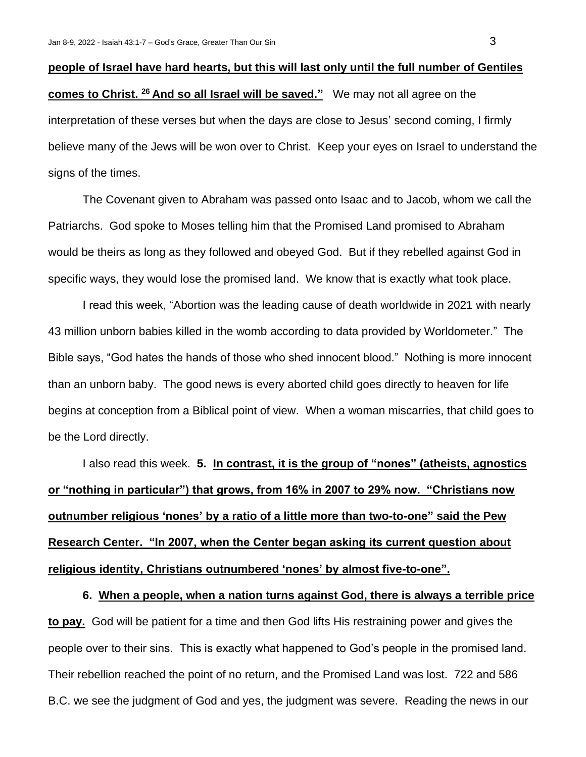## **people of Israel have hard hearts, but this will last only until the full number of Gentiles comes to Christ. <sup>26</sup>And so all Israel will be saved."** We may not all agree on the interpretation of these verses but when the days are close to Jesus' second coming, I firmly believe many of the Jews will be won over to Christ. Keep your eyes on Israel to understand the signs of the times.

The Covenant given to Abraham was passed onto Isaac and to Jacob, whom we call the Patriarchs. God spoke to Moses telling him that the Promised Land promised to Abraham would be theirs as long as they followed and obeyed God. But if they rebelled against God in specific ways, they would lose the promised land. We know that is exactly what took place.

I read this week, "Abortion was the leading cause of death worldwide in 2021 with nearly 43 million unborn babies killed in the womb according to data provided by Worldometer." The Bible says, "God hates the hands of those who shed innocent blood." Nothing is more innocent than an unborn baby. The good news is every aborted child goes directly to heaven for life begins at conception from a Biblical point of view. When a woman miscarries, that child goes to be the Lord directly.

I also read this week. **5. In contrast, it is the group of "nones" (atheists, agnostics or "nothing in particular") that grows, from 16% in 2007 to 29% now. "Christians now outnumber religious 'nones' by a ratio of a little more than two-to-one" said the Pew Research Center. "In 2007, when the Center began asking its current question about religious identity, Christians outnumbered 'nones' by almost five-to-one".**

**6. When a people, when a nation turns against God, there is always a terrible price to pay.** God will be patient for a time and then God lifts His restraining power and gives the people over to their sins. This is exactly what happened to God's people in the promised land. Their rebellion reached the point of no return, and the Promised Land was lost. 722 and 586 B.C. we see the judgment of God and yes, the judgment was severe. Reading the news in our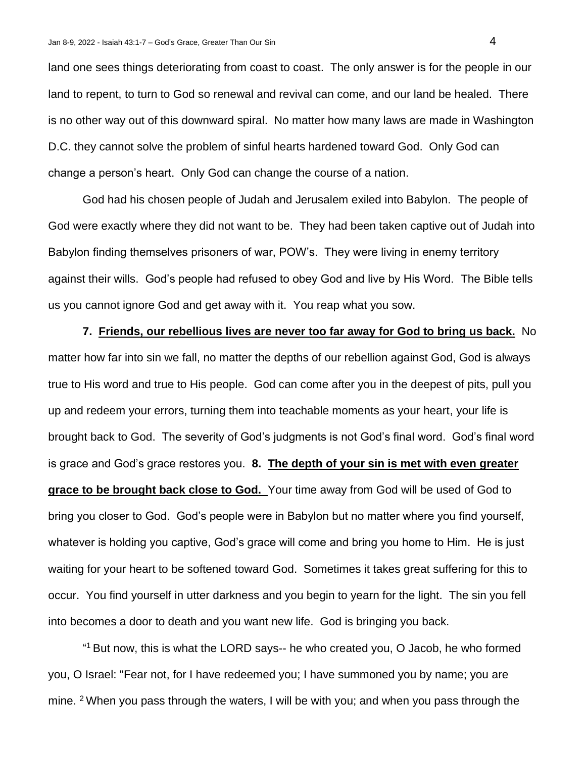land one sees things deteriorating from coast to coast. The only answer is for the people in our land to repent, to turn to God so renewal and revival can come, and our land be healed. There is no other way out of this downward spiral. No matter how many laws are made in Washington D.C. they cannot solve the problem of sinful hearts hardened toward God. Only God can change a person's heart. Only God can change the course of a nation.

God had his chosen people of Judah and Jerusalem exiled into Babylon. The people of God were exactly where they did not want to be. They had been taken captive out of Judah into Babylon finding themselves prisoners of war, POW's. They were living in enemy territory against their wills. God's people had refused to obey God and live by His Word. The Bible tells us you cannot ignore God and get away with it. You reap what you sow.

**7. Friends, our rebellious lives are never too far away for God to bring us back.** No matter how far into sin we fall, no matter the depths of our rebellion against God, God is always true to His word and true to His people. God can come after you in the deepest of pits, pull you up and redeem your errors, turning them into teachable moments as your heart, your life is brought back to God. The severity of God's judgments is not God's final word. God's final word is grace and God's grace restores you. **8. The depth of your sin is met with even greater grace to be brought back close to God.** Your time away from God will be used of God to bring you closer to God. God's people were in Babylon but no matter where you find yourself, whatever is holding you captive, God's grace will come and bring you home to Him. He is just waiting for your heart to be softened toward God. Sometimes it takes great suffering for this to occur. You find yourself in utter darkness and you begin to yearn for the light. The sin you fell into becomes a door to death and you want new life. God is bringing you back.

" <sup>1</sup>But now, this is what the LORD says-- he who created you, O Jacob, he who formed you, O Israel: "Fear not, for I have redeemed you; I have summoned you by name; you are mine. <sup>2</sup> When you pass through the waters, I will be with you; and when you pass through the